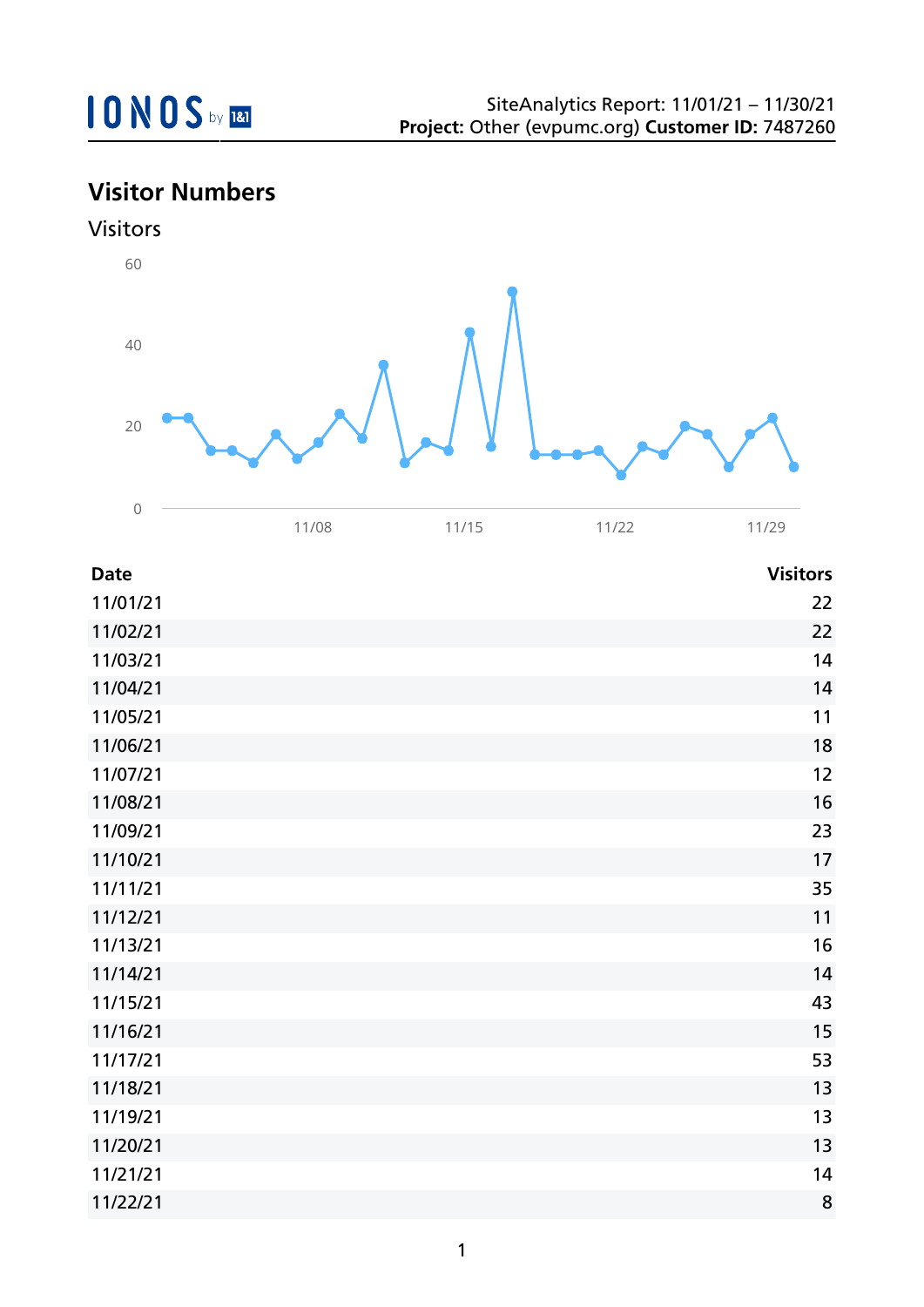## **Visitor Numbers**





| <b>Date</b> | <b>Visitors</b> |
|-------------|-----------------|
| 11/01/21    | 22              |
| 11/02/21    | 22              |
| 11/03/21    | 14              |
| 11/04/21    | 14              |
| 11/05/21    | 11              |
| 11/06/21    | 18              |
| 11/07/21    | 12              |
| 11/08/21    | 16              |
| 11/09/21    | 23              |
| 11/10/21    | 17              |
| 11/11/21    | 35              |
| 11/12/21    | 11              |
| 11/13/21    | 16              |
| 11/14/21    | 14              |
| 11/15/21    | 43              |
| 11/16/21    | 15              |
| 11/17/21    | 53              |
| 11/18/21    | 13              |
| 11/19/21    | 13              |
| 11/20/21    | 13              |
| 11/21/21    | 14              |
| 11/22/21    | 8               |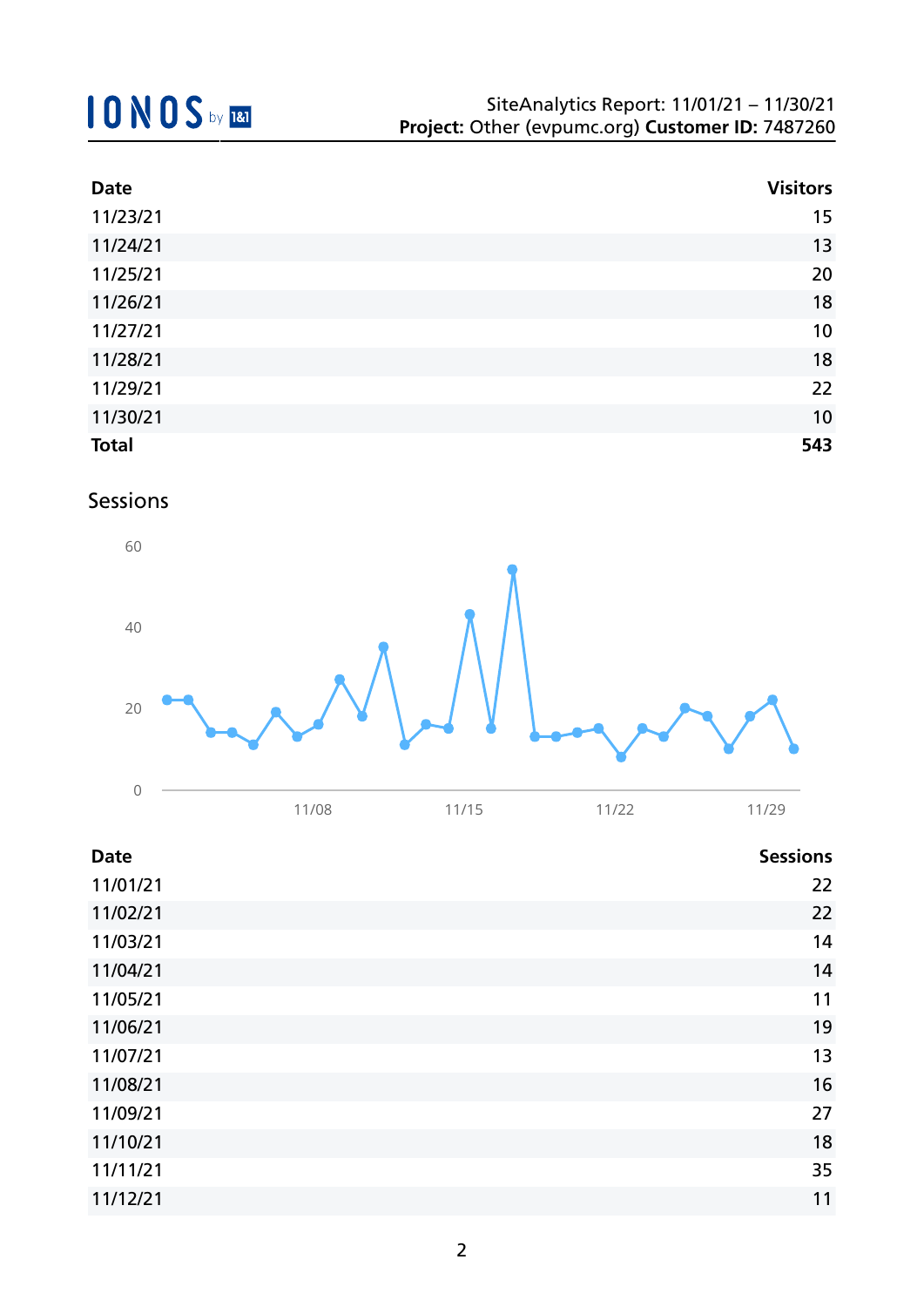| <b>Date</b>  | <b>Visitors</b> |
|--------------|-----------------|
| 11/23/21     | 15              |
| 11/24/21     | 13              |
| 11/25/21     | 20              |
| 11/26/21     | 18              |
| 11/27/21     | 10              |
| 11/28/21     | 18              |
| 11/29/21     | 22              |
| 11/30/21     | 10              |
| <b>Total</b> | 543             |

### Sessions



| <b>Date</b> |       |       |       | <b>Sessions</b> |
|-------------|-------|-------|-------|-----------------|
|             | 11/08 | 11/15 | 11/22 | 11/29           |

| 11/01/21 | 22 |
|----------|----|
| 11/02/21 | 22 |
| 11/03/21 | 14 |
| 11/04/21 | 14 |
| 11/05/21 | 11 |
| 11/06/21 | 19 |
| 11/07/21 | 13 |
| 11/08/21 | 16 |
| 11/09/21 | 27 |
| 11/10/21 | 18 |
| 11/11/21 | 35 |
| 11/12/21 | 11 |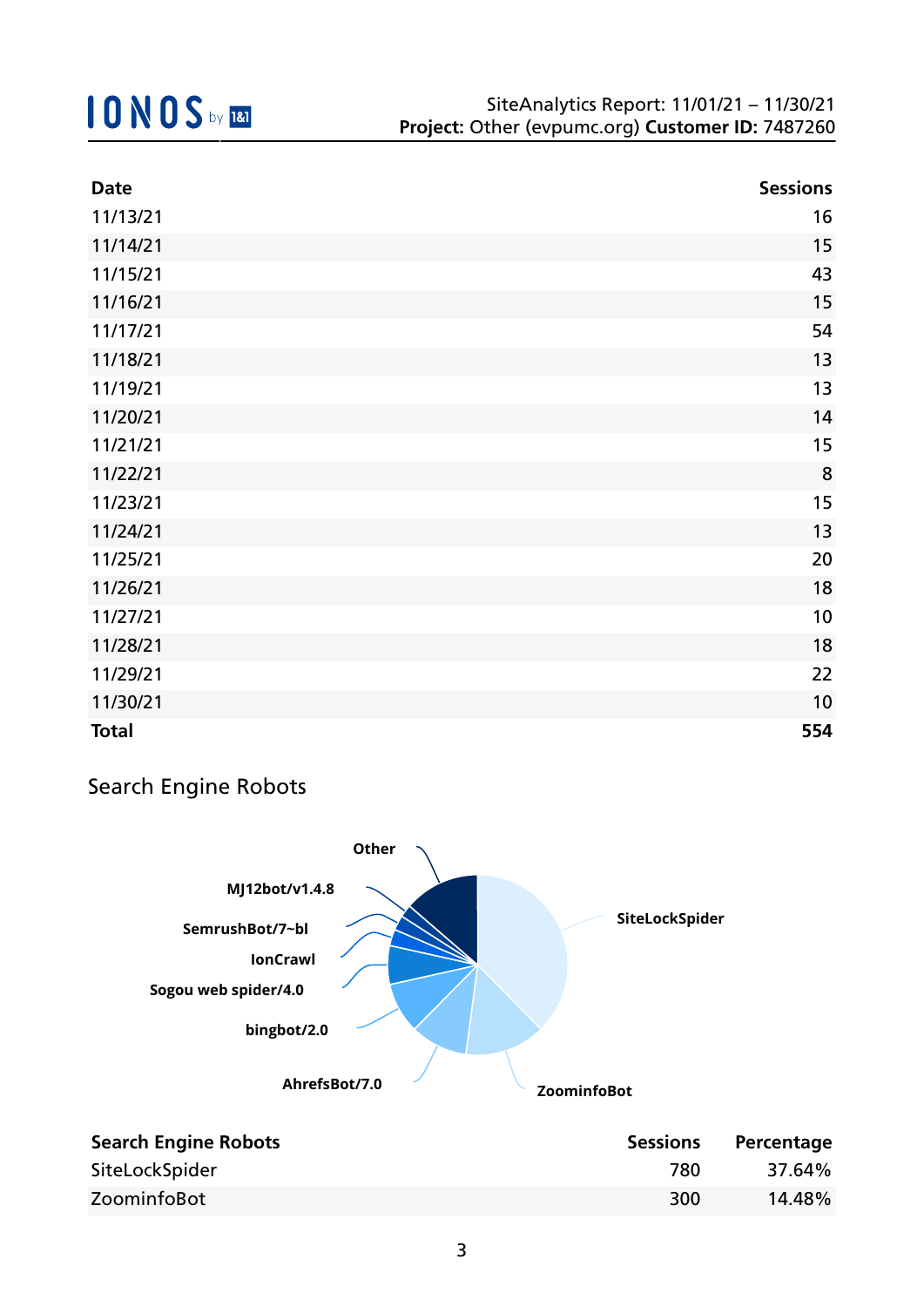| <b>Date</b>  | <b>Sessions</b> |
|--------------|-----------------|
| 11/13/21     | 16              |
| 11/14/21     | 15              |
| 11/15/21     | 43              |
| 11/16/21     | 15              |
| 11/17/21     | 54              |
| 11/18/21     | 13              |
| 11/19/21     | 13              |
| 11/20/21     | 14              |
| 11/21/21     | 15              |
| 11/22/21     | 8               |
| 11/23/21     | 15              |
| 11/24/21     | 13              |
| 11/25/21     | 20              |
| 11/26/21     | 18              |
| 11/27/21     | 10              |
| 11/28/21     | 18              |
| 11/29/21     | 22              |
| 11/30/21     | 10              |
| <b>Total</b> | 554             |

## Search Engine Robots



| <b>Search Engine Robots</b> | <b>Sessions</b> | Percentage |
|-----------------------------|-----------------|------------|
| SiteLockSpider              | 780             | 37.64%     |
| ZoominfoBot                 | 300             | 14.48%     |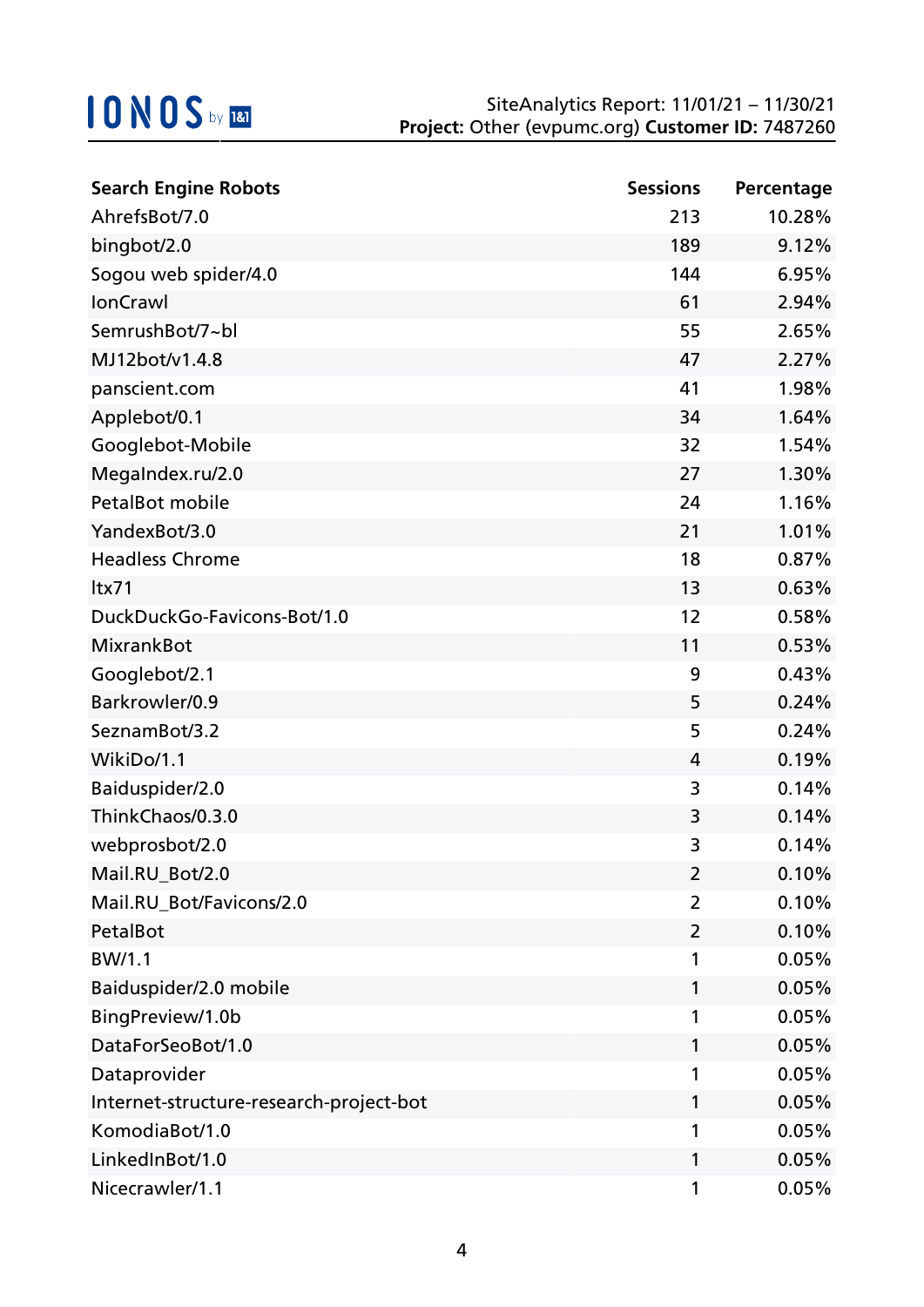| <b>Search Engine Robots</b>             | <b>Sessions</b> | Percentage |
|-----------------------------------------|-----------------|------------|
| AhrefsBot/7.0                           | 213             | 10.28%     |
| bingbot/2.0                             | 189             | 9.12%      |
| Sogou web spider/4.0                    | 144             | 6.95%      |
| IonCrawl                                | 61              | 2.94%      |
| SemrushBot/7~bl                         | 55              | 2.65%      |
| MJ12bot/v1.4.8                          | 47              | 2.27%      |
| panscient.com                           | 41              | 1.98%      |
| Applebot/0.1                            | 34              | 1.64%      |
| Googlebot-Mobile                        | 32              | 1.54%      |
| MegaIndex.ru/2.0                        | 27              | 1.30%      |
| PetalBot mobile                         | 24              | 1.16%      |
| YandexBot/3.0                           | 21              | 1.01%      |
| <b>Headless Chrome</b>                  | 18              | 0.87%      |
| ltx71                                   | 13              | 0.63%      |
| DuckDuckGo-Favicons-Bot/1.0             | 12              | 0.58%      |
| <b>MixrankBot</b>                       | 11              | 0.53%      |
| Googlebot/2.1                           | 9               | 0.43%      |
| Barkrowler/0.9                          | 5               | 0.24%      |
| SeznamBot/3.2                           | 5               | 0.24%      |
| WikiDo/1.1                              | 4               | 0.19%      |
| Baiduspider/2.0                         | 3               | 0.14%      |
| ThinkChaos/0.3.0                        | 3               | 0.14%      |
| webprosbot/2.0                          | 3               | 0.14%      |
| Mail.RU_Bot/2.0                         | 2               | 0.10%      |
| Mail.RU_Bot/Favicons/2.0                | 2               | 0.10%      |
| PetalBot                                | $\overline{2}$  | 0.10%      |
| BW/1.1                                  | 1               | 0.05%      |
| Baiduspider/2.0 mobile                  | 1               | 0.05%      |
| BingPreview/1.0b                        | 1               | 0.05%      |
| DataForSeoBot/1.0                       | 1               | 0.05%      |
| Dataprovider                            | 1               | 0.05%      |
| Internet-structure-research-project-bot | 1               | 0.05%      |
| KomodiaBot/1.0                          | 1               | 0.05%      |
| LinkedInBot/1.0                         | 1               | 0.05%      |
| Nicecrawler/1.1                         | 1               | 0.05%      |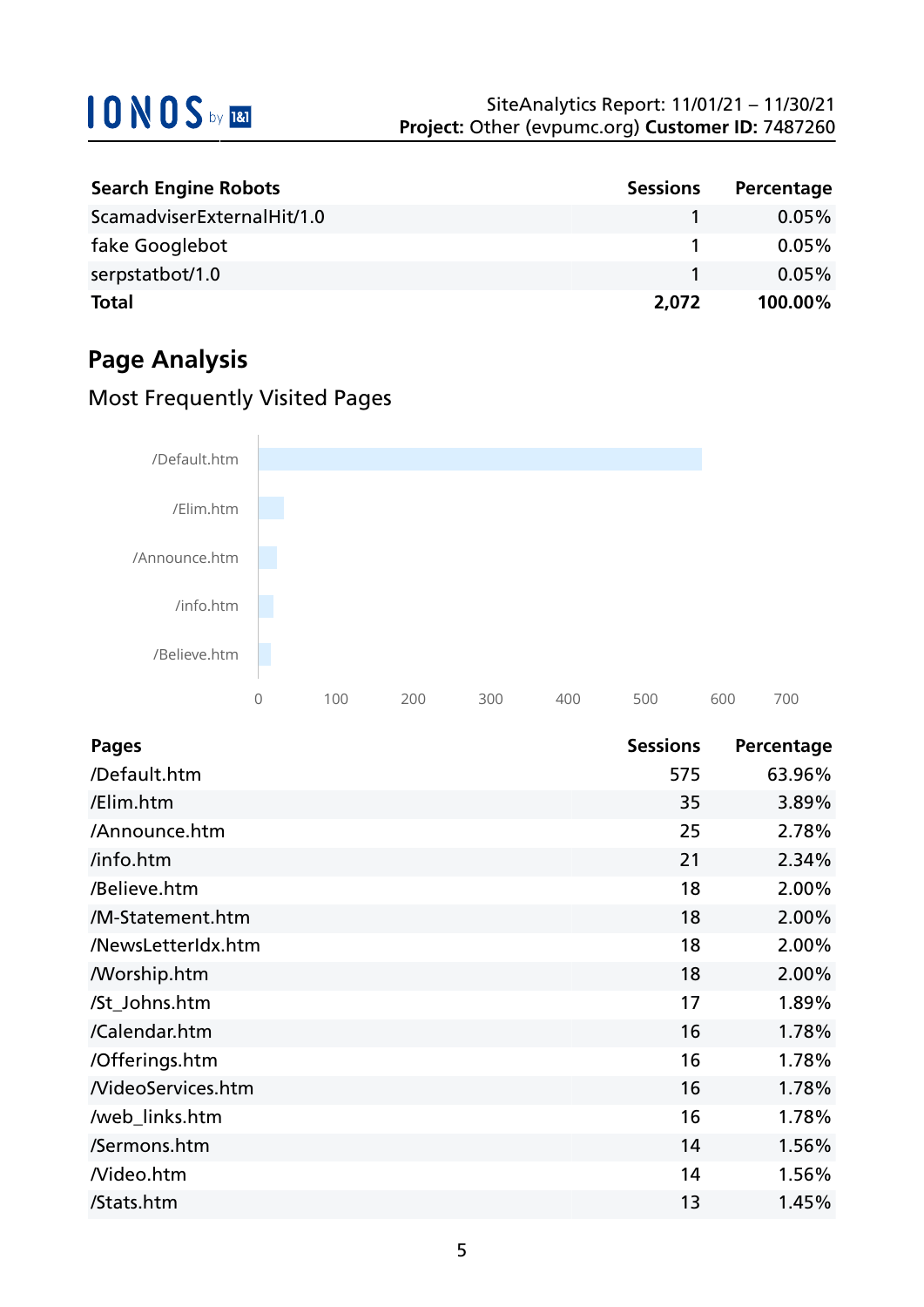| <b>Search Engine Robots</b> | <b>Sessions</b> | Percentage |
|-----------------------------|-----------------|------------|
| ScamadviserExternalHit/1.0  |                 | $0.05\%$   |
| fake Googlebot              |                 | $0.05\%$   |
| serpstatbot/1.0             |                 | $0.05\%$   |
| <b>Total</b>                | 2,072           | 100.00%    |

## **Page Analysis**

## Most Frequently Visited Pages



| <b>Pages</b>             | <b>Sessions</b> | Percentage |
|--------------------------|-----------------|------------|
| /Default.htm             | 575             | 63.96%     |
| /Elim.htm                | 35              | 3.89%      |
| /Announce.htm            | 25              | 2.78%      |
| /info.htm                | 21              | 2.34%      |
| /Believe.htm             | 18              | 2.00%      |
| /M-Statement.htm         | 18              | 2.00%      |
| /NewsLetterIdx.htm       | 18              | 2.00%      |
| <b>Morship.htm</b>       | 18              | 2.00%      |
| /St_Johns.htm            | 17              | 1.89%      |
| /Calendar.htm            | 16              | 1.78%      |
| /Offerings.htm           | 16              | 1.78%      |
| <b>NideoServices.htm</b> | 16              | 1.78%      |
| /web_links.htm           | 16              | 1.78%      |
| /Sermons.htm             | 14              | 1.56%      |
| Nideo.htm                | 14              | 1.56%      |
| /Stats.htm               | 13              | 1.45%      |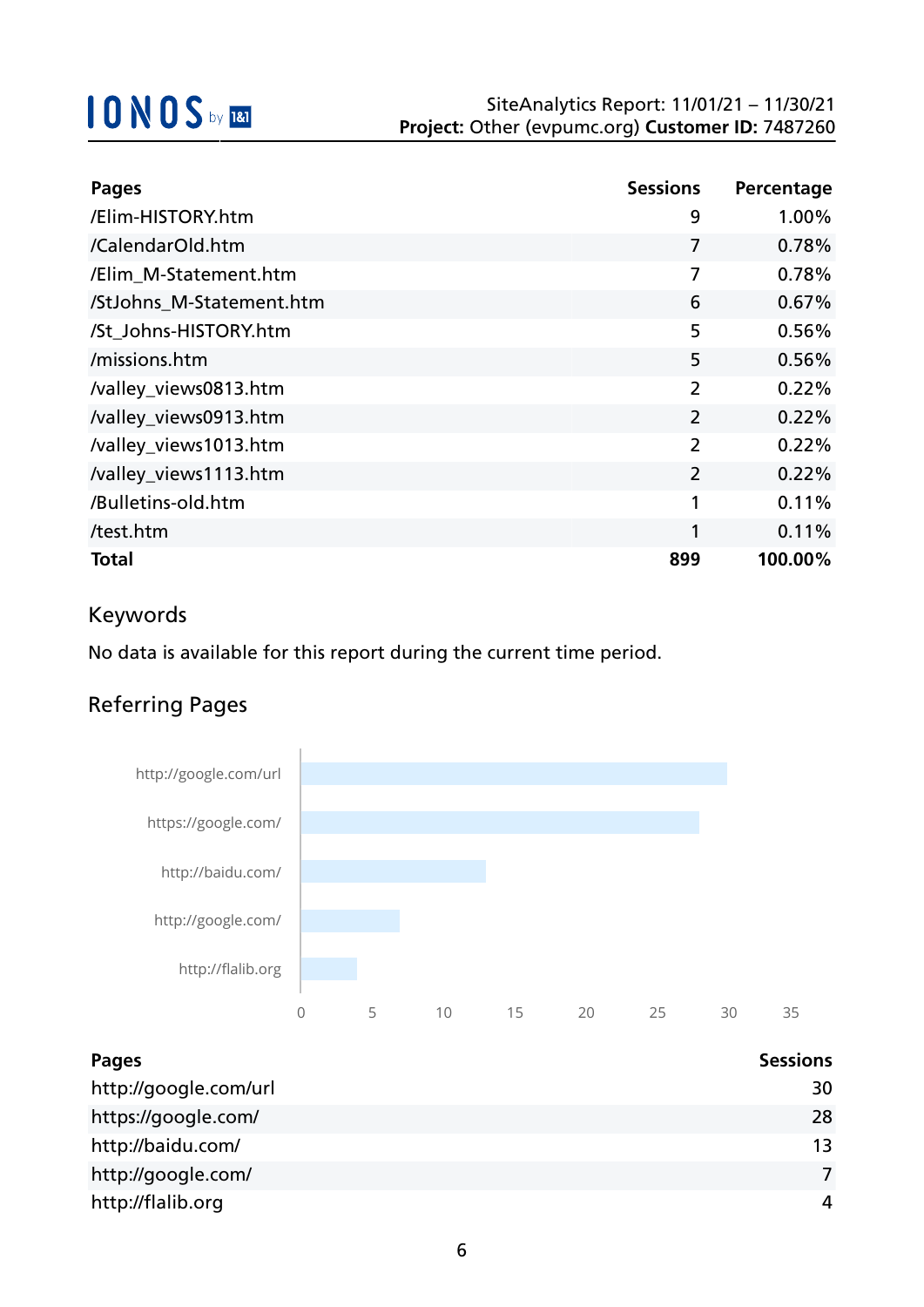| <b>Pages</b>             | <b>Sessions</b> | Percentage |
|--------------------------|-----------------|------------|
| /Elim-HISTORY.htm        | 9               | 1.00%      |
| /CalendarOld.htm         | 7               | 0.78%      |
| /Elim M-Statement.htm    | 7               | 0.78%      |
| /StJohns_M-Statement.htm | 6               | 0.67%      |
| /St_Johns-HISTORY.htm    | 5               | 0.56%      |
| /missions.htm            | 5               | 0.56%      |
| /valley_views0813.htm    | $\overline{2}$  | 0.22%      |
| /valley_views0913.htm    | $\overline{2}$  | 0.22%      |
| /valley_views1013.htm    | $\overline{2}$  | 0.22%      |
| /valley_views1113.htm    | 2               | 0.22%      |
| /Bulletins-old.htm       | 1               | 0.11%      |
| /test.htm                | 1               | 0.11%      |
| Total                    | 899             | 100.00%    |

## Keywords

No data is available for this report during the current time period.

## Referring Pages



| <b>Pages</b>          | <b>Sessions</b> |
|-----------------------|-----------------|
| http://google.com/url | 30              |
| https://google.com/   | 28              |
| http://baidu.com/     | 13              |
| http://google.com/    |                 |
| http://flalib.org     | 4               |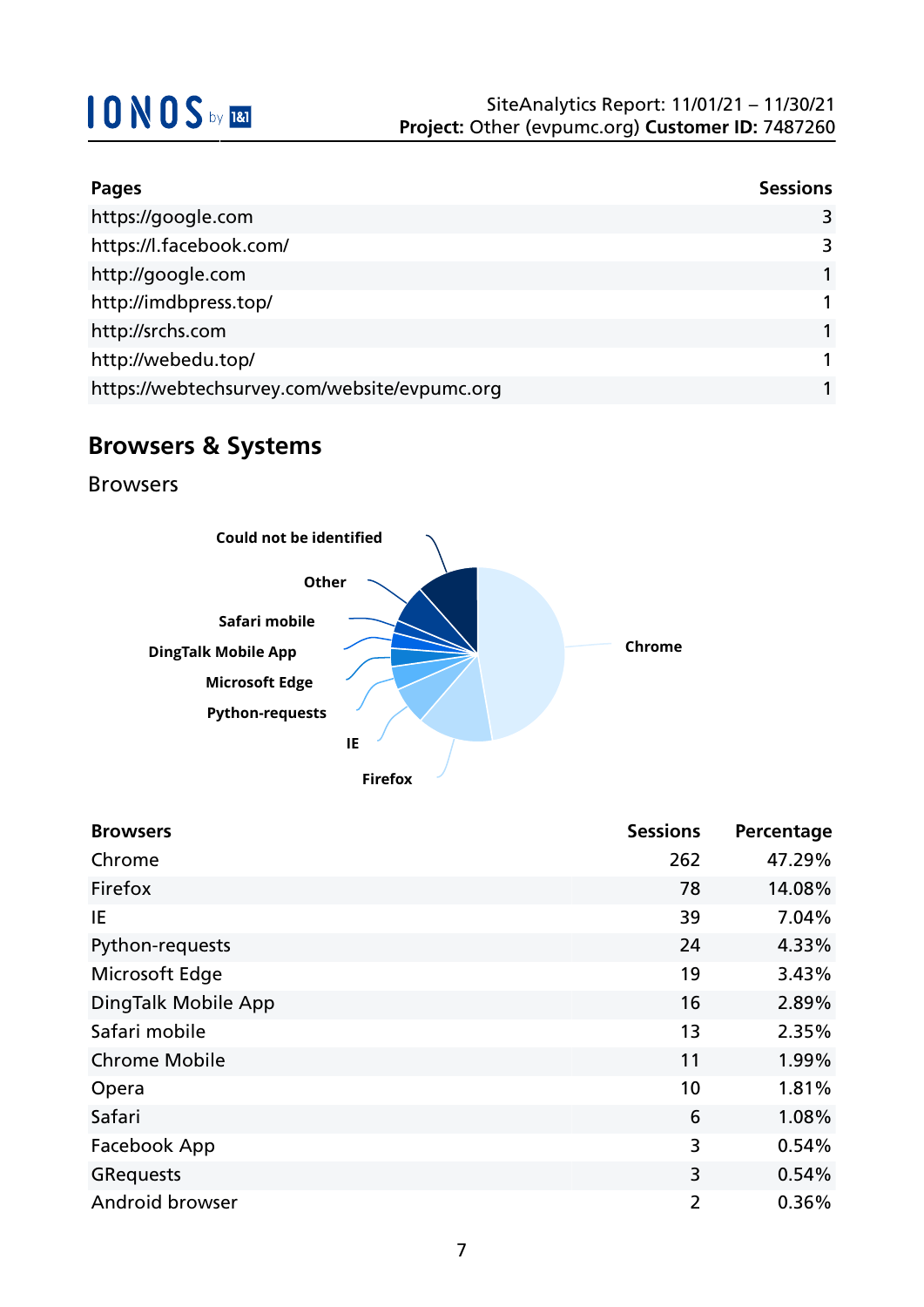| <b>Pages</b>                                 | <b>Sessions</b> |
|----------------------------------------------|-----------------|
| https://google.com                           | 3               |
| https://l.facebook.com/                      | 3               |
| http://google.com                            |                 |
| http://imdbpress.top/                        |                 |
| http://srchs.com                             |                 |
| http://webedu.top/                           |                 |
| https://webtechsurvey.com/website/evpumc.org |                 |

## **Browsers & Systems**

Browsers



| <b>Browsers</b>      | <b>Sessions</b> | Percentage |
|----------------------|-----------------|------------|
| Chrome               | 262             | 47.29%     |
| Firefox              | 78              | 14.08%     |
| ΙE                   | 39              | 7.04%      |
| Python-requests      | 24              | 4.33%      |
| Microsoft Edge       | 19              | 3.43%      |
| DingTalk Mobile App  | 16              | 2.89%      |
| Safari mobile        | 13              | 2.35%      |
| <b>Chrome Mobile</b> | 11              | 1.99%      |
| Opera                | 10              | 1.81%      |
| Safari               | 6               | 1.08%      |
| Facebook App         | 3               | 0.54%      |
| <b>GRequests</b>     | 3               | 0.54%      |
| Android browser      | $\overline{2}$  | 0.36%      |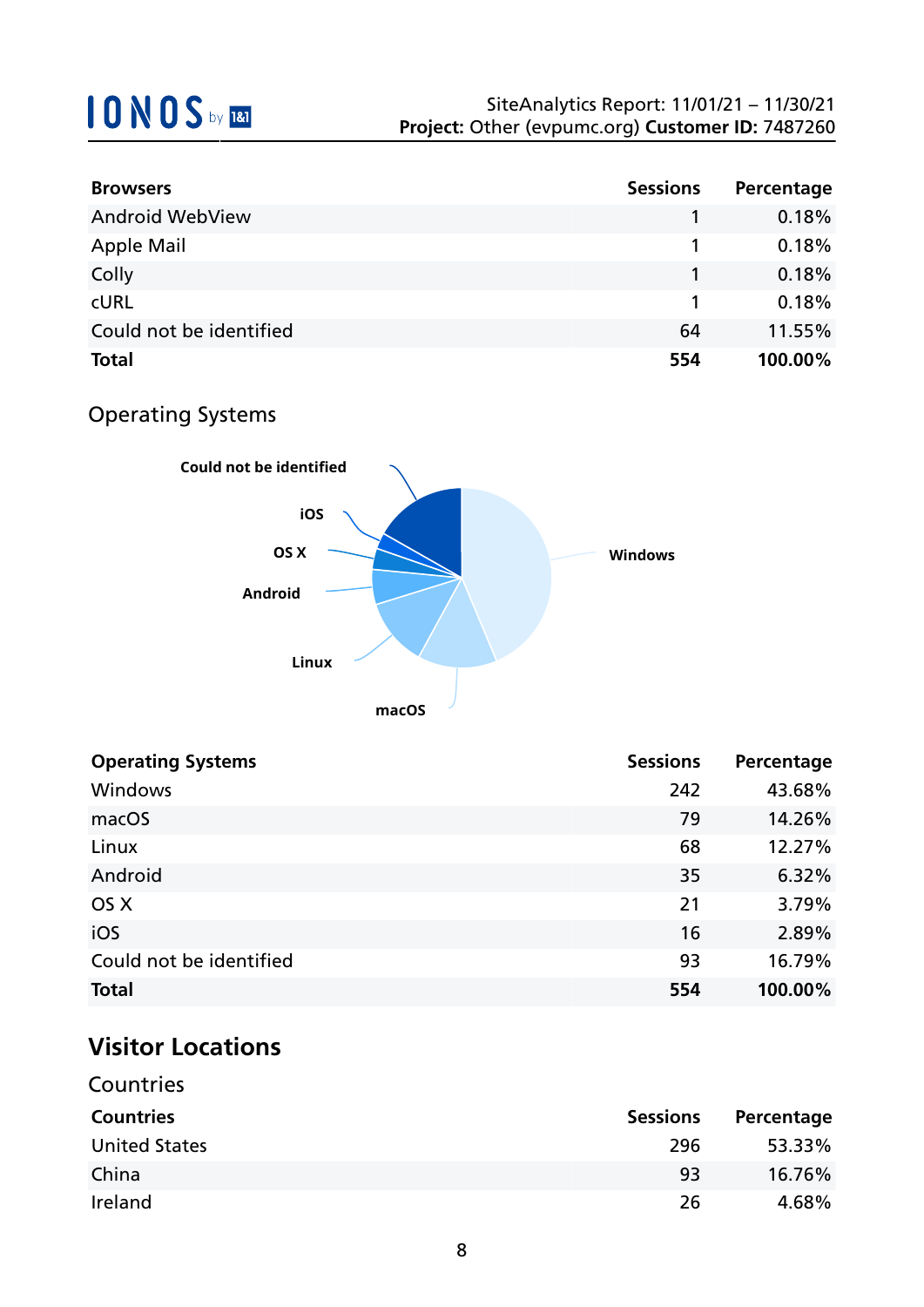| <b>Browsers</b>         | <b>Sessions</b> | Percentage |
|-------------------------|-----------------|------------|
| <b>Android WebView</b>  |                 | 0.18%      |
| <b>Apple Mail</b>       |                 | 0.18%      |
| Colly                   |                 | 0.18%      |
| <b>CURL</b>             |                 | 0.18%      |
| Could not be identified | 64              | 11.55%     |
| <b>Total</b>            | 554             | 100.00%    |

## Operating Systems



| <b>Operating Systems</b> | <b>Sessions</b> | Percentage |
|--------------------------|-----------------|------------|
| Windows                  | 242             | 43.68%     |
| macOS                    | 79              | 14.26%     |
| Linux                    | 68              | 12.27%     |
| Android                  | 35              | 6.32%      |
| OS X                     | 21              | 3.79%      |
| iOS                      | 16              | 2.89%      |
| Could not be identified  | 93              | 16.79%     |
| <b>Total</b>             | 554             | 100.00%    |

## **Visitor Locations**

| Countries            |                 |            |
|----------------------|-----------------|------------|
| <b>Countries</b>     | <b>Sessions</b> | Percentage |
| <b>United States</b> | 296             | 53.33%     |
| China                | 93              | 16.76%     |
| Ireland              | 26              | 4.68%      |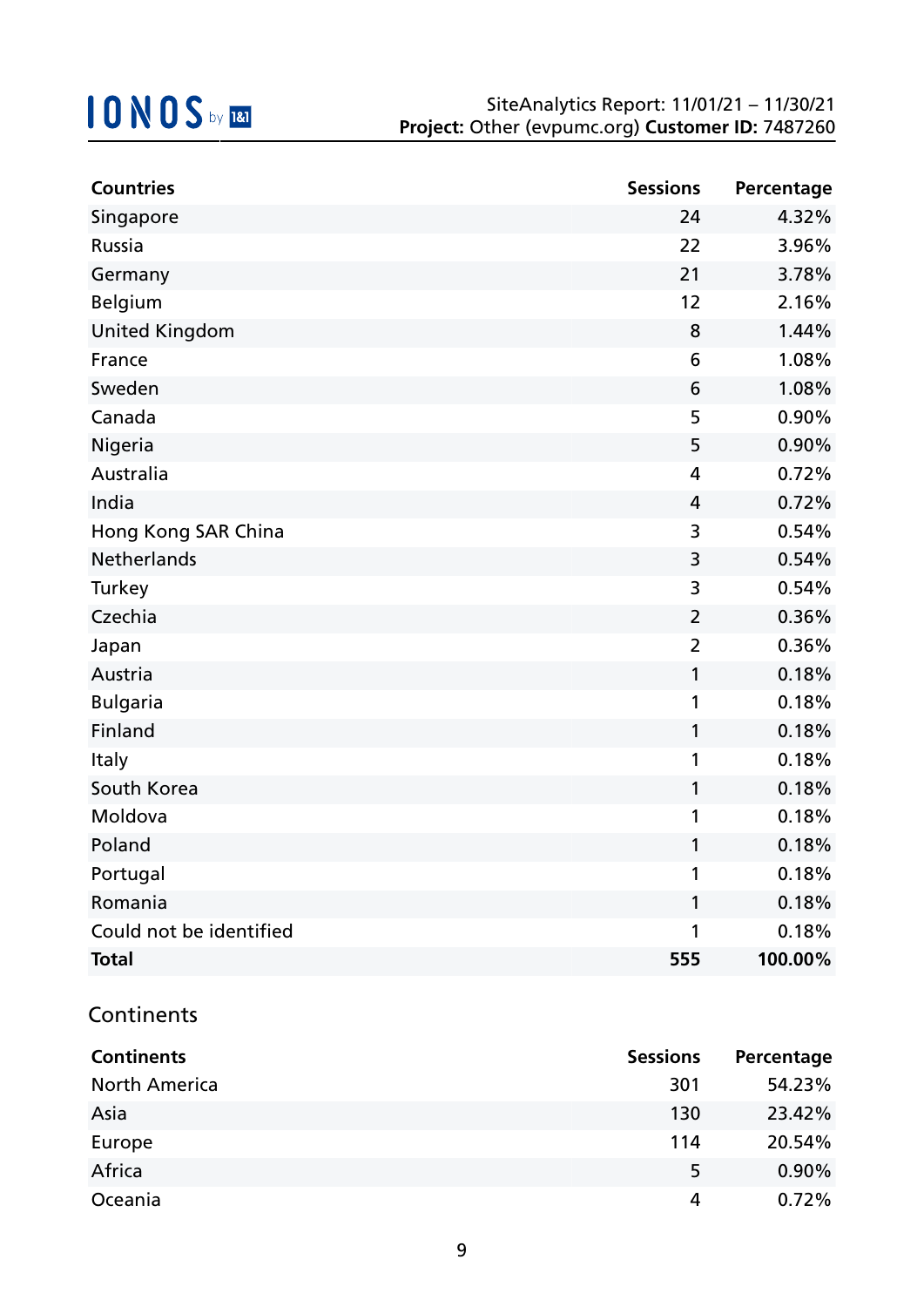| <b>Countries</b>        | <b>Sessions</b> | Percentage |
|-------------------------|-----------------|------------|
| Singapore               | 24              | 4.32%      |
| Russia                  | 22              | 3.96%      |
| Germany                 | 21              | 3.78%      |
| Belgium                 | 12              | 2.16%      |
| <b>United Kingdom</b>   | 8               | 1.44%      |
| France                  | 6               | 1.08%      |
| Sweden                  | 6               | 1.08%      |
| Canada                  | 5               | 0.90%      |
| Nigeria                 | 5               | 0.90%      |
| Australia               | 4               | 0.72%      |
| India                   | 4               | 0.72%      |
| Hong Kong SAR China     | 3               | 0.54%      |
| <b>Netherlands</b>      | 3               | 0.54%      |
| Turkey                  | 3               | 0.54%      |
| Czechia                 | $\overline{2}$  | 0.36%      |
| Japan                   | $\overline{2}$  | 0.36%      |
| Austria                 | 1               | 0.18%      |
| <b>Bulgaria</b>         | 1               | 0.18%      |
| Finland                 | 1               | 0.18%      |
| Italy                   | 1               | 0.18%      |
| South Korea             | $\mathbf{1}$    | 0.18%      |
| Moldova                 | 1               | 0.18%      |
| Poland                  | 1               | 0.18%      |
| Portugal                | 1               | 0.18%      |
| Romania                 | 1               | 0.18%      |
| Could not be identified | 1               | 0.18%      |
| <b>Total</b>            | 555             | 100.00%    |

### **Continents**

| <b>Continents</b>    | <b>Sessions</b> | Percentage |
|----------------------|-----------------|------------|
| <b>North America</b> | 301             | 54.23%     |
| Asia                 | 130             | 23.42%     |
| Europe               | 114             | 20.54%     |
| Africa               | 5               | $0.90\%$   |
| Oceania              | 4               | 0.72%      |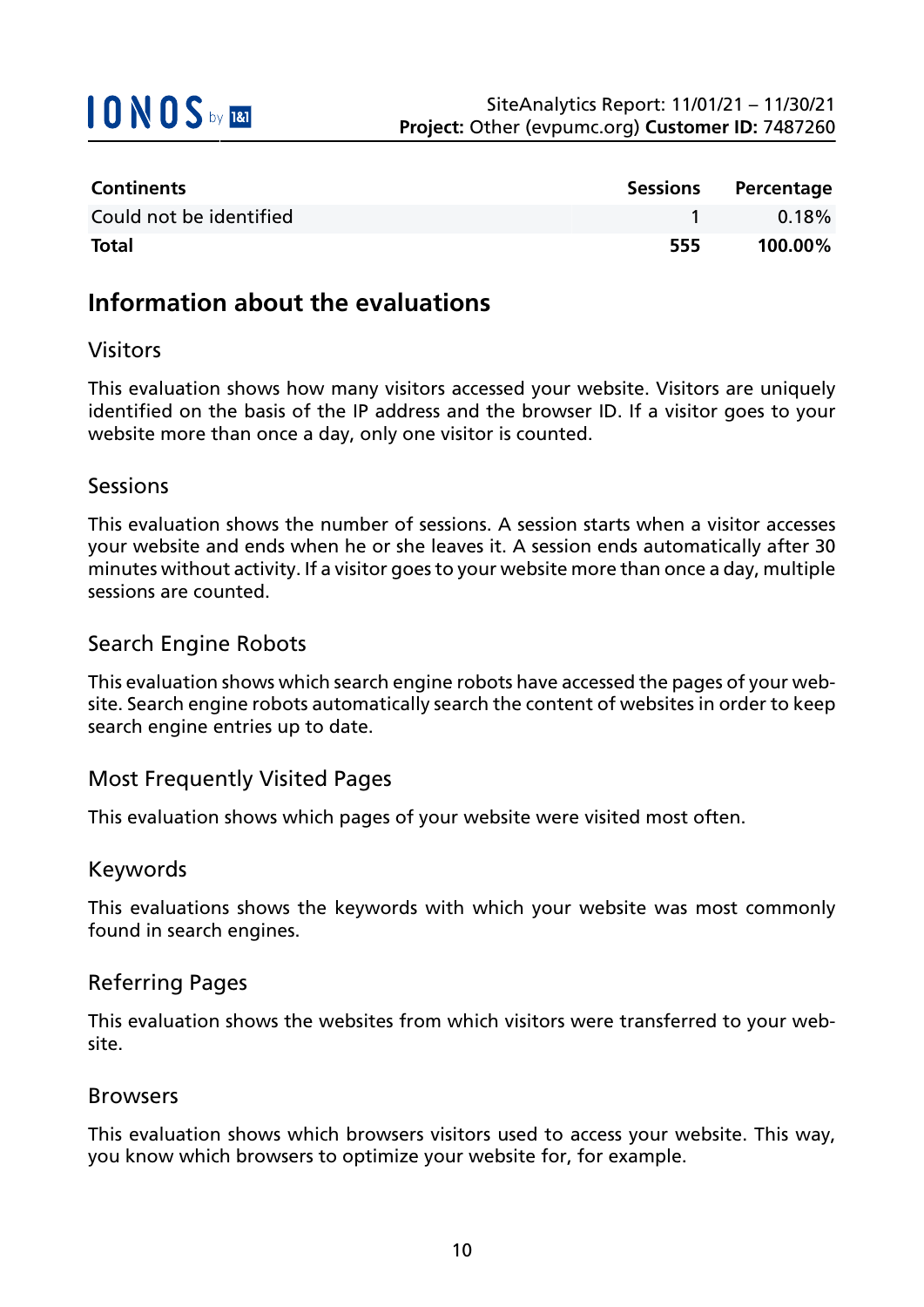

| <b>Continents</b>       |     | Sessions Percentage |
|-------------------------|-----|---------------------|
| Could not be identified |     | $0.18\%$            |
| <b>Total</b>            | 555 | $100.00\%$          |

## **Information about the evaluations**

### Visitors

This evaluation shows how many visitors accessed your website. Visitors are uniquely identified on the basis of the IP address and the browser ID. If a visitor goes to your website more than once a day, only one visitor is counted.

#### Sessions

This evaluation shows the number of sessions. A session starts when a visitor accesses your website and ends when he or she leaves it. A session ends automatically after 30 minutes without activity. If a visitor goes to your website more than once a day, multiple sessions are counted.

### Search Engine Robots

This evaluation shows which search engine robots have accessed the pages of your website. Search engine robots automatically search the content of websites in order to keep search engine entries up to date.

### Most Frequently Visited Pages

This evaluation shows which pages of your website were visited most often.

#### Keywords

This evaluations shows the keywords with which your website was most commonly found in search engines.

### Referring Pages

This evaluation shows the websites from which visitors were transferred to your website.

#### Browsers

This evaluation shows which browsers visitors used to access your website. This way, you know which browsers to optimize your website for, for example.